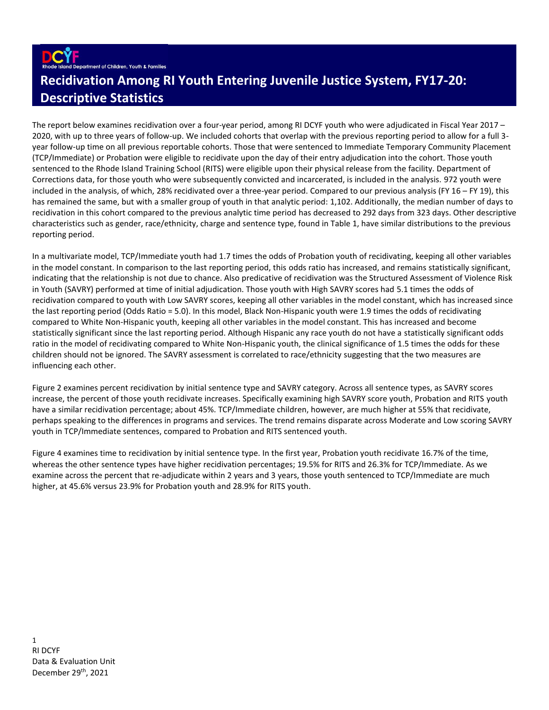ment of Children, Youth & Families

# **Recidivation Among RI Youth Entering Juvenile Justice System, FY17-20: Descriptive Statistics**

The report below examines recidivation over a four-year period, among RI DCYF youth who were adjudicated in Fiscal Year 2017 – 2020, with up to three years of follow-up. We included cohorts that overlap with the previous reporting period to allow for a full 3 year follow-up time on all previous reportable cohorts. Those that were sentenced to Immediate Temporary Community Placement (TCP/Immediate) or Probation were eligible to recidivate upon the day of their entry adjudication into the cohort. Those youth sentenced to the Rhode Island Training School (RITS) were eligible upon their physical release from the facility. Department of Corrections data, for those youth who were subsequently convicted and incarcerated, is included in the analysis. 972 youth were included in the analysis, of which, 28% recidivated over a three-year period. Compared to our previous analysis (FY 16 – FY 19), this has remained the same, but with a smaller group of youth in that analytic period: 1,102. Additionally, the median number of days to recidivation in this cohort compared to the previous analytic time period has decreased to 292 days from 323 days. Other descriptive characteristics such as gender, race/ethnicity, charge and sentence type, found in Table 1, have similar distributions to the previous reporting period.

In a multivariate model, TCP/Immediate youth had 1.7 times the odds of Probation youth of recidivating, keeping all other variables in the model constant. In comparison to the last reporting period, this odds ratio has increased, and remains statistically significant, indicating that the relationship is not due to chance. Also predicative of recidivation was the Structured Assessment of Violence Risk in Youth (SAVRY) performed at time of initial adjudication. Those youth with High SAVRY scores had 5.1 times the odds of recidivation compared to youth with Low SAVRY scores, keeping all other variables in the model constant, which has increased since the last reporting period (Odds Ratio = 5.0). In this model, Black Non-Hispanic youth were 1.9 times the odds of recidivating compared to White Non-Hispanic youth, keeping all other variables in the model constant. This has increased and become statistically significant since the last reporting period. Although Hispanic any race youth do not have a statistically significant odds ratio in the model of recidivating compared to White Non-Hispanic youth, the clinical significance of 1.5 times the odds for these children should not be ignored. The SAVRY assessment is correlated to race/ethnicity suggesting that the two measures are influencing each other.

Figure 2 examines percent recidivation by initial sentence type and SAVRY category. Across all sentence types, as SAVRY scores increase, the percent of those youth recidivate increases. Specifically examining high SAVRY score youth, Probation and RITS youth have a similar recidivation percentage; about 45%. TCP/Immediate children, however, are much higher at 55% that recidivate, perhaps speaking to the differences in programs and services. The trend remains disparate across Moderate and Low scoring SAVRY youth in TCP/Immediate sentences, compared to Probation and RITS sentenced youth.

Figure 4 examines time to recidivation by initial sentence type. In the first year, Probation youth recidivate 16.7% of the time, whereas the other sentence types have higher recidivation percentages; 19.5% for RITS and 26.3% for TCP/Immediate. As we examine across the percent that re-adjudicate within 2 years and 3 years, those youth sentenced to TCP/Immediate are much higher, at 45.6% versus 23.9% for Probation youth and 28.9% for RITS youth.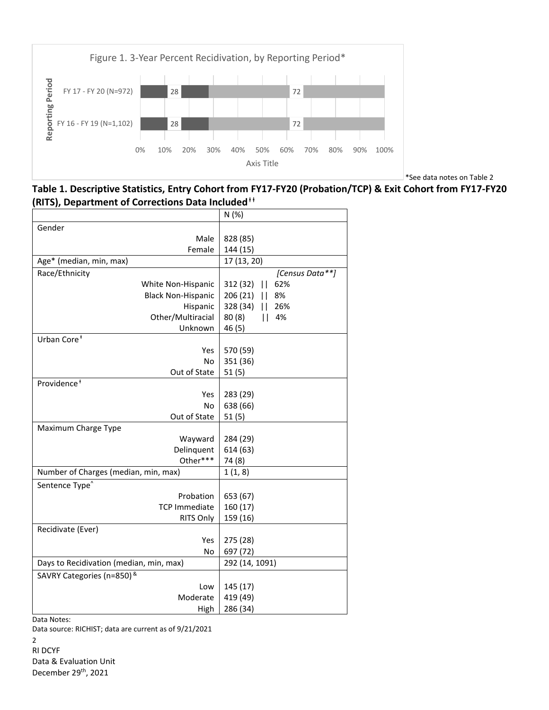

\*See data notes on Table 2

**Table 1. Descriptive Statistics, Entry Cohort from FY17-FY20 (Probation/TCP) & Exit Cohort from FY17-FY20 (RITS), Department of Corrections Data Included**<sup>†</sup>

|                                         | N(%)                            |
|-----------------------------------------|---------------------------------|
| Gender                                  |                                 |
| Male                                    | 828 (85)                        |
| Female                                  | 144 (15)                        |
| Age* (median, min, max)                 | 17 (13, 20)                     |
| Race/Ethnicity                          | [Census Data**]                 |
| White Non-Hispanic                      | 312 (32)<br>$\mathbf{H}$<br>62% |
| <b>Black Non-Hispanic</b>               | 206 (21)<br>8%<br>$\mathbf{H}$  |
| Hispanic                                | 328 (34)<br>26%<br>$\mathbf{H}$ |
| Other/Multiracial                       | 80(8)<br>4%<br>Ш.               |
| Unknown                                 | 46 (5)                          |
| Urban Core <sup>+</sup>                 |                                 |
| Yes                                     | 570 (59)                        |
| No                                      | 351 (36)                        |
| Out of State                            | 51(5)                           |
| Providence <sup>+</sup>                 |                                 |
| Yes                                     | 283 (29)                        |
| No                                      | 638 (66)                        |
| Out of State                            | 51(5)                           |
| Maximum Charge Type                     |                                 |
| Wayward                                 | 284 (29)                        |
| Delinquent                              | 614 (63)                        |
| Other***                                | 74 (8)                          |
| Number of Charges (median, min, max)    | 1(1, 8)                         |
| Sentence Type <sup>^</sup>              |                                 |
| Probation                               | 653 (67)                        |
| <b>TCP Immediate</b>                    | 160 (17)                        |
| RITS Only                               | 159 (16)                        |
| Recidivate (Ever)                       |                                 |
| Yes                                     | 275 (28)                        |
| <b>No</b>                               | 697 (72)                        |
| Days to Recidivation (median, min, max) | 292 (14, 1091)                  |
| SAVRY Categories (n=850) &              |                                 |
| Low                                     | 145 (17)                        |
| Moderate                                | 419 (49)                        |
| High                                    | 286 (34)                        |

Data Notes:

Data source: RICHIST; data are current as of 9/21/2021

2 RI DCYF Data & Evaluation Unit December 29<sup>th</sup>, 2021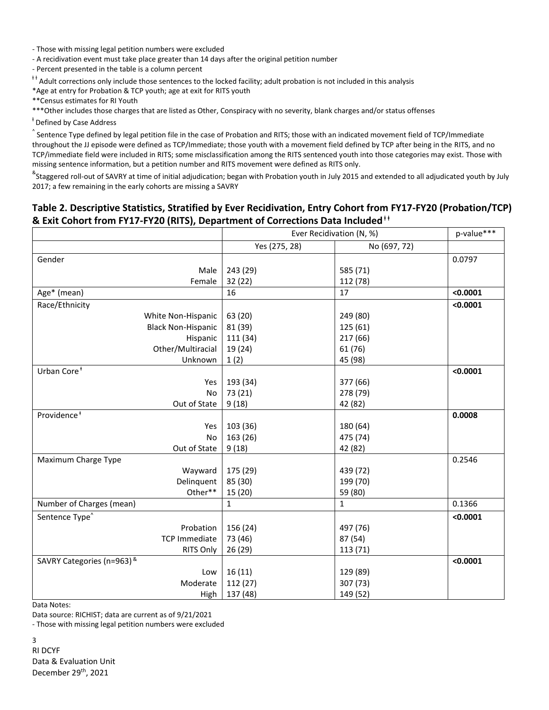- Those with missing legal petition numbers were excluded

- A recidivation event must take place greater than 14 days after the original petition number

- Percent presented in the table is a column percent

 $^{\text{++}}$  Adult corrections only include those sentences to the locked facility; adult probation is not included in this analysis

\*Age at entry for Probation & TCP youth; age at exit for RITS youth

\*\*Census estimates for RI Youth

\*\*\*Other includes those charges that are listed as Other, Conspiracy with no severity, blank charges and/or status offenses

<sup>‡</sup> Defined by Case Address

 $\hat{ }$  Sentence Type defined by legal petition file in the case of Probation and RITS; those with an indicated movement field of TCP/Immediate throughout the JJ episode were defined as TCP/Immediate; those youth with a movement field defined by TCP after being in the RITS, and no TCP/immediate field were included in RITS; some misclassification among the RITS sentenced youth into those categories may exist. Those with missing sentence information, but a petition number and RITS movement were defined as RITS only.

<sup>&</sup>Staggered roll-out of SAVRY at time of initial adjudication; began with Probation youth in July 2015 and extended to all adjudicated youth by July 2017; a few remaining in the early cohorts are missing a SAVRY

# **Table 2. Descriptive Statistics, Stratified by Ever Recidivation, Entry Cohort from FY17-FY20 (Probation/TCP) & Exit Cohort from FY17-FY20 (RITS), Department of Corrections Data Included**<sup>††</sup>

|                            | Ever Recidivation (N, %) |              | p-value*** |
|----------------------------|--------------------------|--------------|------------|
|                            | Yes (275, 28)            | No (697, 72) |            |
| Gender                     |                          |              | 0.0797     |
| Male                       | 243 (29)                 | 585 (71)     |            |
| Female                     | 32(22)                   | 112 (78)     |            |
| Age* (mean)                | 16                       | 17           | < 0.0001   |
| Race/Ethnicity             |                          |              | < 0.0001   |
| White Non-Hispanic         | 63 (20)                  | 249 (80)     |            |
| <b>Black Non-Hispanic</b>  | 81 (39)                  | 125 (61)     |            |
| Hispanic                   | 111 (34)                 | 217 (66)     |            |
| Other/Multiracial          | 19 (24)                  | 61 (76)      |            |
| Unknown                    | 1(2)                     | 45 (98)      |            |
| Urban Core <sup>+</sup>    |                          |              | < 0.0001   |
| Yes                        | 193 (34)                 | 377 (66)     |            |
| No                         | 73 (21)                  | 278 (79)     |            |
| Out of State               | 9(18)                    | 42 (82)      |            |
| Providence <sup>+</sup>    |                          |              | 0.0008     |
| Yes                        | 103 (36)                 | 180 (64)     |            |
| <b>No</b>                  | 163 (26)                 | 475 (74)     |            |
| Out of State               | 9(18)                    | 42 (82)      |            |
| Maximum Charge Type        |                          |              | 0.2546     |
| Wayward                    | 175 (29)                 | 439 (72)     |            |
| Delinquent                 | 85 (30)                  | 199 (70)     |            |
| Other**                    | 15 (20)                  | 59 (80)      |            |
| Number of Charges (mean)   | $\mathbf{1}$             | $\mathbf{1}$ | 0.1366     |
| Sentence Type <sup>^</sup> |                          |              | < 0.0001   |
| Probation                  | 156 (24)                 | 497 (76)     |            |
| <b>TCP Immediate</b>       | 73 (46)                  | 87 (54)      |            |
| RITS Only                  | 26 (29)                  | 113 (71)     |            |
| SAVRY Categories (n=963) & |                          |              | < 0.0001   |
| Low                        | 16(11)                   | 129 (89)     |            |
| Moderate                   | 112 (27)                 | 307 (73)     |            |
| High                       | 137 (48)                 | 149 (52)     |            |

Data Notes:

Data source: RICHIST; data are current as of 9/21/2021

- Those with missing legal petition numbers were excluded

3 RI DCYF Data & Evaluation Unit December 29<sup>th</sup>, 2021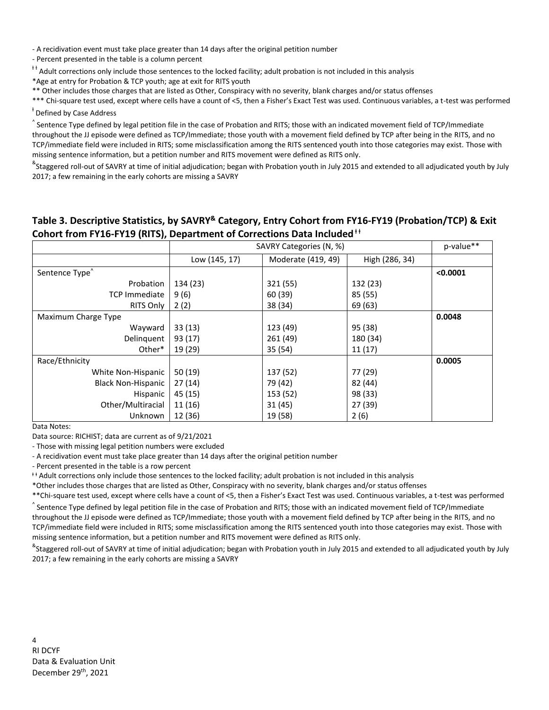- A recidivation event must take place greater than 14 days after the original petition number

- Percent presented in the table is a column percent

<sup>++</sup> Adult corrections only include those sentences to the locked facility; adult probation is not included in this analysis

\*Age at entry for Probation & TCP youth; age at exit for RITS youth

\*\* Other includes those charges that are listed as Other, Conspiracy with no severity, blank charges and/or status offenses

\*\*\* Chi-square test used, except where cells have a count of <5, then a Fisher's Exact Test was used. Continuous variables, a t-test was performed

## <sup>‡</sup> Defined by Case Address

 $\hat{ }$  Sentence Type defined by legal petition file in the case of Probation and RITS; those with an indicated movement field of TCP/Immediate throughout the JJ episode were defined as TCP/Immediate; those youth with a movement field defined by TCP after being in the RITS, and no TCP/immediate field were included in RITS; some misclassification among the RITS sentenced youth into those categories may exist. Those with missing sentence information, but a petition number and RITS movement were defined as RITS only.

<sup>&</sup>Staggered roll-out of SAVRY at time of initial adjudication; began with Probation youth in July 2015 and extended to all adjudicated youth by July 2017; a few remaining in the early cohorts are missing a SAVRY

### **Table 3. Descriptive Statistics, by SAVRY& Category, Entry Cohort from FY16-FY19 (Probation/TCP) & Exit Cohort from FY16-FY19 (RITS), Department of Corrections Data Included**<sup>††</sup>

|                            | SAVRY Categories (N, %) |                    |                | p-value** |
|----------------------------|-------------------------|--------------------|----------------|-----------|
|                            | Low (145, 17)           | Moderate (419, 49) | High (286, 34) |           |
| Sentence Type <sup>^</sup> |                         |                    |                | < 0.0001  |
| Probation                  | 134 (23)                | 321 (55)           | 132 (23)       |           |
| <b>TCP Immediate</b>       | 9(6)                    | 60 (39)            | 85 (55)        |           |
| <b>RITS Only</b>           | 2(2)                    | 38 (34)            | 69 (63)        |           |
| Maximum Charge Type        |                         |                    |                | 0.0048    |
| Wayward                    | 33(13)                  | 123 (49)           | 95 (38)        |           |
| Delinquent                 | 93 (17)                 | 261 (49)           | 180 (34)       |           |
| Other*                     | 19 (29)                 | 35 (54)            | 11(17)         |           |
| Race/Ethnicity             |                         |                    |                | 0.0005    |
| White Non-Hispanic         | 50(19)                  | 137 (52)           | 77 (29)        |           |
| <b>Black Non-Hispanic</b>  | 27(14)                  | 79 (42)            | 82 (44)        |           |
| Hispanic                   | 45 (15)                 | 153 (52)           | 98 (33)        |           |
| Other/Multiracial          | 11 (16)                 | 31 (45)            | 27 (39)        |           |
| Unknown                    | 12 (36)                 | 19 (58)            | 2(6)           |           |

Data Notes:

Data source: RICHIST; data are current as of 9/21/2021

- Those with missing legal petition numbers were excluded

- A recidivation event must take place greater than 14 days after the original petition number

- Percent presented in the table is a row percent

<sup>##</sup> Adult corrections only include those sentences to the locked facility; adult probation is not included in this analysis

\*Other includes those charges that are listed as Other, Conspiracy with no severity, blank charges and/or status offenses

\*\*Chi-square test used, except where cells have a count of <5, then a Fisher's Exact Test was used. Continuous variables, a t-test was performed

 $\hat{ }$  Sentence Type defined by legal petition file in the case of Probation and RITS; those with an indicated movement field of TCP/Immediate throughout the JJ episode were defined as TCP/Immediate; those youth with a movement field defined by TCP after being in the RITS, and no TCP/immediate field were included in RITS; some misclassification among the RITS sentenced youth into those categories may exist. Those with missing sentence information, but a petition number and RITS movement were defined as RITS only.

<sup>&</sup>Staggered roll-out of SAVRY at time of initial adjudication; began with Probation youth in July 2015 and extended to all adjudicated youth by July 2017; a few remaining in the early cohorts are missing a SAVRY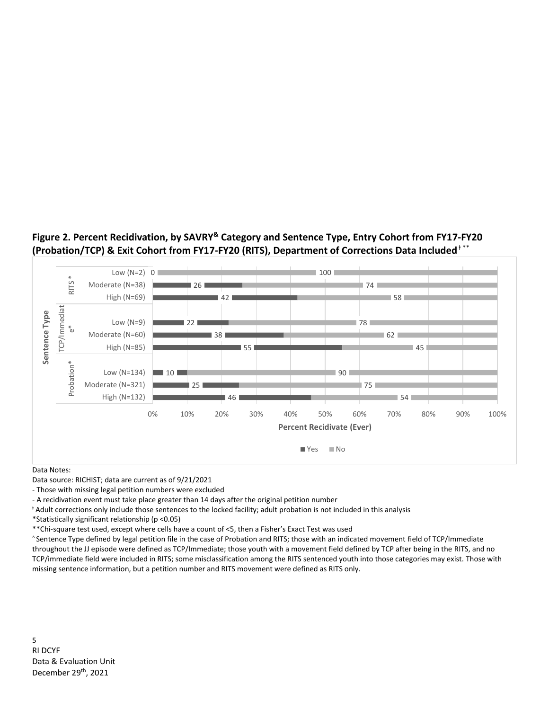# **Figure 2. Percent Recidivation, by SAVRY& Category and Sentence Type, Entry Cohort from FY17-FY20 (Probation/TCP) & Exit Cohort from FY17-FY20 (RITS), Department of Corrections Data Included** <sup>ⱡ</sup> \*\*



#### Data Notes:

Data source: RICHIST; data are current as of 9/21/2021

- Those with missing legal petition numbers were excluded

- A recidivation event must take place greater than 14 days after the original petition number

<sup>ⱡ</sup> Adult corrections only include those sentences to the locked facility; adult probation is not included in this analysis

\*Statistically significant relationship (p <0.05)

\*\*Chi-square test used, except where cells have a count of <5, then a Fisher's Exact Test was used

^ Sentence Type defined by legal petition file in the case of Probation and RITS; those with an indicated movement field of TCP/Immediate throughout the JJ episode were defined as TCP/Immediate; those youth with a movement field defined by TCP after being in the RITS, and no TCP/immediate field were included in RITS; some misclassification among the RITS sentenced youth into those categories may exist. Those with missing sentence information, but a petition number and RITS movement were defined as RITS only.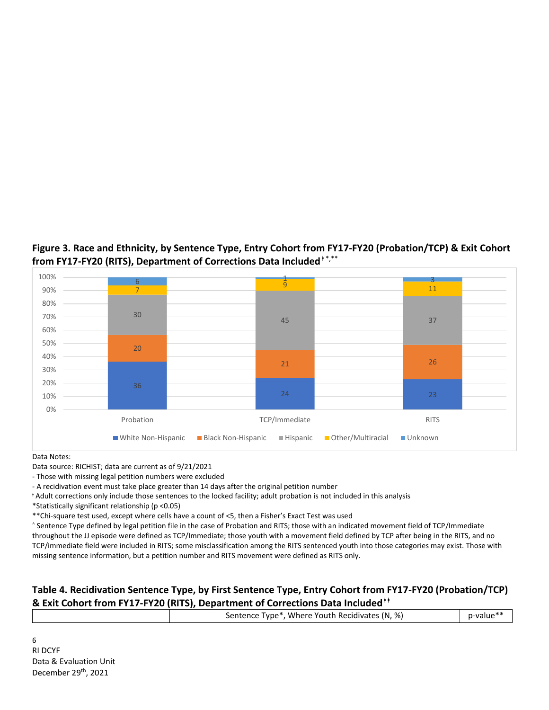# **Figure 3. Race and Ethnicity, by Sentence Type, Entry Cohort from FY17-FY20 (Probation/TCP) & Exit Cohort from FY17-FY20 (RITS), Department of Corrections Data Included**<sup>ⱡ</sup> \*,\*\*



Data Notes:

Data source: RICHIST; data are current as of 9/21/2021

- Those with missing legal petition numbers were excluded

- A recidivation event must take place greater than 14 days after the original petition number

<sup>ⱡ</sup> Adult corrections only include those sentences to the locked facility; adult probation is not included in this analysis

\*Statistically significant relationship (p <0.05)

\*\*Chi-square test used, except where cells have a count of <5, then a Fisher's Exact Test was used

^ Sentence Type defined by legal petition file in the case of Probation and RITS; those with an indicated movement field of TCP/Immediate throughout the JJ episode were defined as TCP/Immediate; those youth with a movement field defined by TCP after being in the RITS, and no TCP/immediate field were included in RITS; some misclassification among the RITS sentenced youth into those categories may exist. Those with missing sentence information, but a petition number and RITS movement were defined as RITS only.

### **Table 4. Recidivation Sentence Type, by First Sentence Type, Entry Cohort from FY17-FY20 (Probation/TCP) & Exit Cohort from FY17-FY20 (RITS), Department of Corrections Data Included**<sup>ⱡ</sup> <sup>ⱡ</sup>

| Sentence Type*, Where Youth Recidivates (N, %) |  |
|------------------------------------------------|--|
|                                                |  |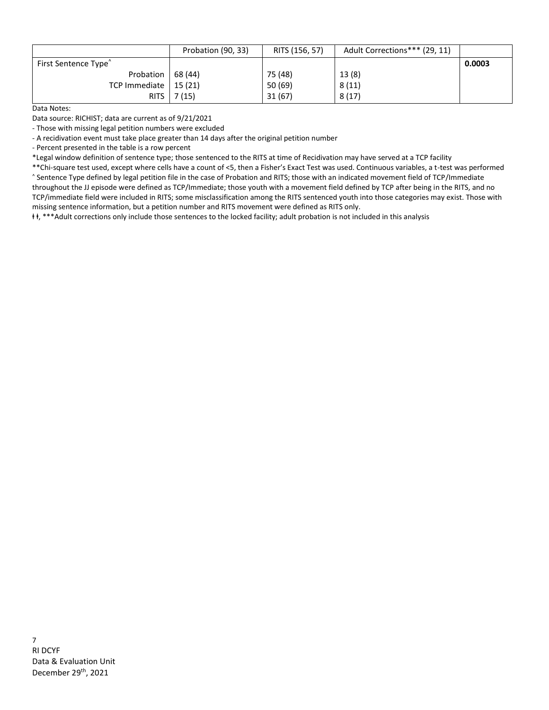|                                  | Probation (90, 33) | RITS (156, 57) | Adult Corrections*** (29, 11) |        |
|----------------------------------|--------------------|----------------|-------------------------------|--------|
| First Sentence Type <sup>^</sup> |                    |                |                               | 0.0003 |
| Probation   68 (44)              |                    | 75 (48)        | 13(8)                         |        |
| TCP Immediate   15 $(21)$        |                    | 50 (69)        | 8(11)                         |        |
|                                  | RITS $  7(15)$     | 31(67)         | 8(17)                         |        |

Data Notes:

Data source: RICHIST; data are current as of 9/21/2021

- Those with missing legal petition numbers were excluded

- A recidivation event must take place greater than 14 days after the original petition number

- Percent presented in the table is a row percent

\*Legal window definition of sentence type; those sentenced to the RITS at time of Recidivation may have served at a TCP facility

\*\*Chi-square test used, except where cells have a count of <5, then a Fisher's Exact Test was used. Continuous variables, a t-test was performed ^ Sentence Type defined by legal petition file in the case of Probation and RITS; those with an indicated movement field of TCP/Immediate throughout the JJ episode were defined as TCP/Immediate; those youth with a movement field defined by TCP after being in the RITS, and no TCP/immediate field were included in RITS; some misclassification among the RITS sentenced youth into those categories may exist. Those with

missing sentence information, but a petition number and RITS movement were defined as RITS only.

ⱡ ⱡ, \*\*\*Adult corrections only include those sentences to the locked facility; adult probation is not included in this analysis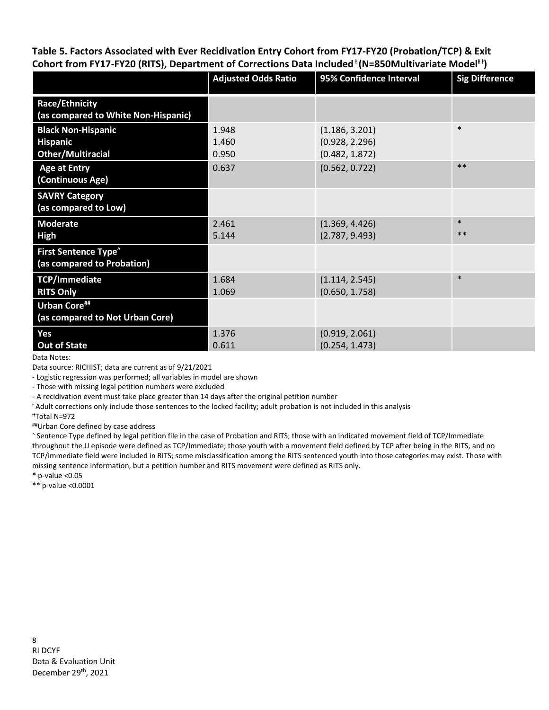**Table 5. Factors Associated with Ever Recidivation Entry Cohort from FY17-FY20 (Probation/TCP) & Exit**  Cohort from FY17-FY20 (RITS), Department of Corrections Data Included<sup>+</sup> (N=850Multivariate Model<sup>++</sup>)

|                                                                          | <b>Adjusted Odds Ratio</b> | 95% Confidence Interval                            | <b>Sig Difference</b> |
|--------------------------------------------------------------------------|----------------------------|----------------------------------------------------|-----------------------|
| <b>Race/Ethnicity</b><br>(as compared to White Non-Hispanic)             |                            |                                                    |                       |
| <b>Black Non-Hispanic</b><br><b>Hispanic</b><br><b>Other/Multiracial</b> | 1.948<br>1.460<br>0.950    | (1.186, 3.201)<br>(0.928, 2.296)<br>(0.482, 1.872) | $\ast$                |
| <b>Age at Entry</b><br>(Continuous Age)                                  | 0.637                      | (0.562, 0.722)                                     | $**$                  |
| <b>SAVRY Category</b><br>(as compared to Low)                            |                            |                                                    |                       |
| <b>Moderate</b><br>High                                                  | 2.461<br>5.144             | (1.369, 4.426)<br>(2.787, 9.493)                   | $\ast$<br>$**$        |
| <b>First Sentence Type<sup>^</sup></b><br>(as compared to Probation)     |                            |                                                    |                       |
| TCP/Immediate<br><b>RITS Only</b>                                        | 1.684<br>1.069             | (1.114, 2.545)<br>(0.650, 1.758)                   | $\ast$                |
| <b>Urban Core##</b><br>(as compared to Not Urban Core)                   |                            |                                                    |                       |
| Yes<br><b>Out of State</b>                                               | 1.376<br>0.611             | (0.919, 2.061)<br>(0.254, 1.473)                   |                       |

Data Notes:

Data source: RICHIST; data are current as of 9/21/2021

- Logistic regression was performed; all variables in model are shown

- Those with missing legal petition numbers were excluded

- A recidivation event must take place greater than 14 days after the original petition number

<sup>ⱡ</sup> Adult corrections only include those sentences to the locked facility; adult probation is not included in this analysis

ⱡⱡTotal N=972

##Urban Core defined by case address

^ Sentence Type defined by legal petition file in the case of Probation and RITS; those with an indicated movement field of TCP/Immediate throughout the JJ episode were defined as TCP/Immediate; those youth with a movement field defined by TCP after being in the RITS, and no TCP/immediate field were included in RITS; some misclassification among the RITS sentenced youth into those categories may exist. Those with missing sentence information, but a petition number and RITS movement were defined as RITS only.

 $*$  p-value < 0.05

\*\* p-value <0.0001